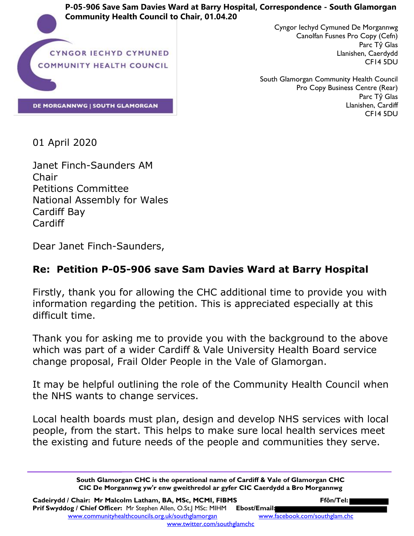**P-05-906 Save Sam Davies Ward at Barry Hospital, Correspondence - South Glamorgan Community Health Council to Chair, 01.04.20**



**DE MORGANNWG | SOUTH GLAMORGAN** 

Cyngor Iechyd Cymuned De Morgannwg Canolfan Fusnes Pro Copy (Cefn) Parc Tŷ Glas Llanishen, Caerdydd CF14 5DU

South Glamorgan Community Health Council Pro Copy Business Centre (Rear) Parc Tŷ Glas Llanishen, Cardiff CF14 5DU

01 April 2020

Janet Finch-Saunders AM Chair Petitions Committee National Assembly for Wales Cardiff Bay Cardiff

Dear Janet Finch-Saunders,

## **Re: Petition P-05-906 save Sam Davies Ward at Barry Hospital**

Firstly, thank you for allowing the CHC additional time to provide you with information regarding the petition. This is appreciated especially at this difficult time.

Thank you for asking me to provide you with the background to the above which was part of a wider Cardiff & Vale University Health Board service change proposal, Frail Older People in the Vale of Glamorgan.

It may be helpful outlining the role of the Community Health Council when the NHS wants to change services.

Local health boards must plan, design and develop NHS services with local people, from the start. This helps to make sure local health services meet the existing and future needs of the people and communities they serve.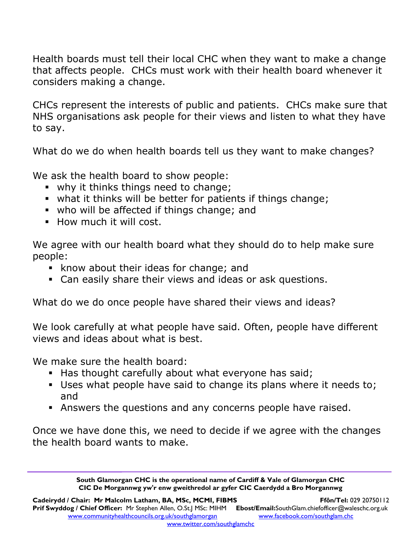Health boards must tell their local CHC when they want to make a change that affects people. CHCs must work with their health board whenever it considers making a change.

CHCs represent the interests of public and patients. CHCs make sure that NHS organisations ask people for their views and listen to what they have to say.

What do we do when health boards tell us they want to make changes?

We ask the health board to show people:

- why it thinks things need to change;
- what it thinks will be better for patients if things change;
- who will be affected if things change; and
- **How much it will cost.**

We agree with our health board what they should do to help make sure people:

- **E** know about their ideas for change; and
- Can easily share their views and ideas or ask questions.

What do we do once people have shared their views and ideas?

We look carefully at what people have said. Often, people have different views and ideas about what is best.

We make sure the health board:

- Has thought carefully about what everyone has said;
- Uses what people have said to change its plans where it needs to; and
- Answers the questions and any concerns people have raised.

Once we have done this, we need to decide if we agree with the changes the health board wants to make.

> **South Glamorgan CHC is the operational name of Cardiff & Vale of Glamorgan CHC CIC De Morgannwg yw'r enw gweithredol ar gyfer CIC Caerdydd a Bro Morgannwg**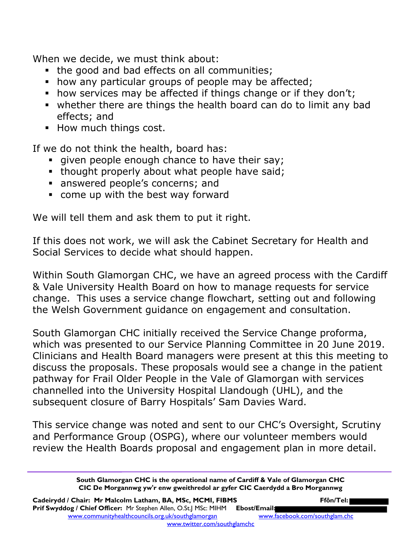When we decide, we must think about:

- the good and bad effects on all communities;
- how any particular groups of people may be affected;
- how services may be affected if things change or if they don't;
- whether there are things the health board can do to limit any bad effects; and
- **How much things cost.**

If we do not think the health, board has:

- qiven people enough chance to have their say;
- thought properly about what people have said;
- answered people's concerns; and
- come up with the best way forward

We will tell them and ask them to put it right.

If this does not work, we will ask the Cabinet Secretary for Health and Social Services to decide what should happen.

Within South Glamorgan CHC, we have an agreed process with the Cardiff & Vale University Health Board on how to manage requests for service change. This uses a service change flowchart, setting out and following the Welsh Government guidance on engagement and consultation.

South Glamorgan CHC initially received the Service Change proforma, which was presented to our Service Planning Committee in 20 June 2019. Clinicians and Health Board managers were present at this this meeting to discuss the proposals. These proposals would see a change in the patient pathway for Frail Older People in the Vale of Glamorgan with services channelled into the University Hospital Llandough (UHL), and the subsequent closure of Barry Hospitals' Sam Davies Ward.

This service change was noted and sent to our CHC's Oversight, Scrutiny and Performance Group (OSPG), where our volunteer members would review the Health Boards proposal and engagement plan in more detail.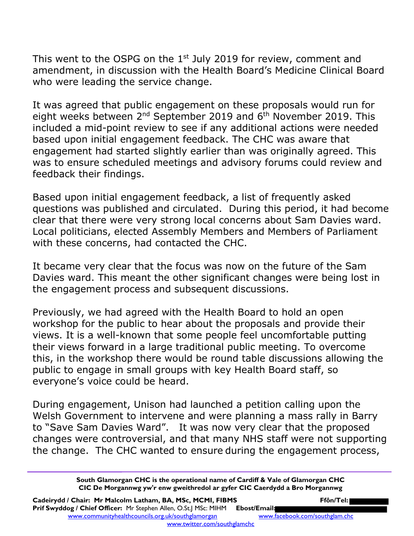This went to the OSPG on the  $1<sup>st</sup>$  July 2019 for review, comment and amendment, in discussion with the Health Board's Medicine Clinical Board who were leading the service change.

It was agreed that public engagement on these proposals would run for eight weeks between  $2^{nd}$  September 2019 and  $6^{th}$  November 2019. This included a mid-point review to see if any additional actions were needed based upon initial engagement feedback. The CHC was aware that engagement had started slightly earlier than was originally agreed. This was to ensure scheduled meetings and advisory forums could review and feedback their findings.

Based upon initial engagement feedback, a list of frequently asked questions was published and circulated. During this period, it had become clear that there were very strong local concerns about Sam Davies ward. Local politicians, elected Assembly Members and Members of Parliament with these concerns, had contacted the CHC.

It became very clear that the focus was now on the future of the Sam Davies ward. This meant the other significant changes were being lost in the engagement process and subsequent discussions.

Previously, we had agreed with the Health Board to hold an open workshop for the public to hear about the proposals and provide their views. It is a well-known that some people feel uncomfortable putting their views forward in a large traditional public meeting. To overcome this, in the workshop there would be round table discussions allowing the public to engage in small groups with key Health Board staff, so everyone's voice could be heard.

During engagement, Unison had launched a petition calling upon the Welsh Government to intervene and were planning a mass rally in Barry to "Save Sam Davies Ward". It was now very clear that the proposed changes were controversial, and that many NHS staff were not supporting the change. The CHC wanted to ensure during the engagement process,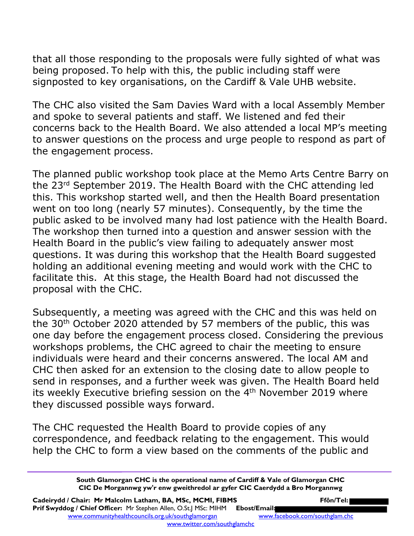that all those responding to the proposals were fully sighted of what was being proposed. To help with this, the public including staff were signposted to key organisations, on the Cardiff & Vale UHB website.

The CHC also visited the Sam Davies Ward with a local Assembly Member and spoke to several patients and staff. We listened and fed their concerns back to the Health Board. We also attended a local MP's meeting to answer questions on the process and urge people to respond as part of the engagement process.

The planned public workshop took place at the Memo Arts Centre Barry on the 23rd September 2019. The Health Board with the CHC attending led this. This workshop started well, and then the Health Board presentation went on too long (nearly 57 minutes). Consequently, by the time the public asked to be involved many had lost patience with the Health Board. The workshop then turned into a question and answer session with the Health Board in the public's view failing to adequately answer most questions. It was during this workshop that the Health Board suggested holding an additional evening meeting and would work with the CHC to facilitate this. At this stage, the Health Board had not discussed the proposal with the CHC.

Subsequently, a meeting was agreed with the CHC and this was held on the 30th October 2020 attended by 57 members of the public, this was one day before the engagement process closed. Considering the previous workshops problems, the CHC agreed to chair the meeting to ensure individuals were heard and their concerns answered. The local AM and CHC then asked for an extension to the closing date to allow people to send in responses, and a further week was given. The Health Board held its weekly Executive briefing session on the 4<sup>th</sup> November 2019 where they discussed possible ways forward.

The CHC requested the Health Board to provide copies of any correspondence, and feedback relating to the engagement. This would help the CHC to form a view based on the comments of the public and

Cadeirydd / Chair: Mr Malcolm Latham, BA, MSc, MCMI, FIBMS **Ffôn/Tel: Prif Swyddog / Chief Officer:** Mr Stephen Allen, O.St.J MSc: MIHM **Ebost/Email:** www.communityhealthcouncils.org.uk/southglamorgan www.facebook.com/southglam.chc www.twitter.com/southglamchc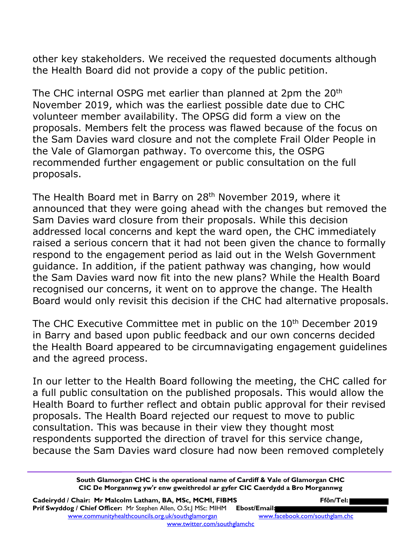other key stakeholders. We received the requested documents although the Health Board did not provide a copy of the public petition.

The CHC internal OSPG met earlier than planned at 2pm the 20<sup>th</sup> November 2019, which was the earliest possible date due to CHC volunteer member availability. The OPSG did form a view on the proposals. Members felt the process was flawed because of the focus on the Sam Davies ward closure and not the complete Frail Older People in the Vale of Glamorgan pathway. To overcome this, the OSPG recommended further engagement or public consultation on the full proposals.

The Health Board met in Barry on 28<sup>th</sup> November 2019, where it announced that they were going ahead with the changes but removed the Sam Davies ward closure from their proposals. While this decision addressed local concerns and kept the ward open, the CHC immediately raised a serious concern that it had not been given the chance to formally respond to the engagement period as laid out in the Welsh Government guidance. In addition, if the patient pathway was changing, how would the Sam Davies ward now fit into the new plans? While the Health Board recognised our concerns, it went on to approve the change. The Health Board would only revisit this decision if the CHC had alternative proposals.

The CHC Executive Committee met in public on the 10<sup>th</sup> December 2019 in Barry and based upon public feedback and our own concerns decided the Health Board appeared to be circumnavigating engagement guidelines and the agreed process.

In our letter to the Health Board following the meeting, the CHC called for a full public consultation on the published proposals. This would allow the Health Board to further reflect and obtain public approval for their revised proposals. The Health Board rejected our request to move to public consultation. This was because in their view they thought most respondents supported the direction of travel for this service change, because the Sam Davies ward closure had now been removed completely